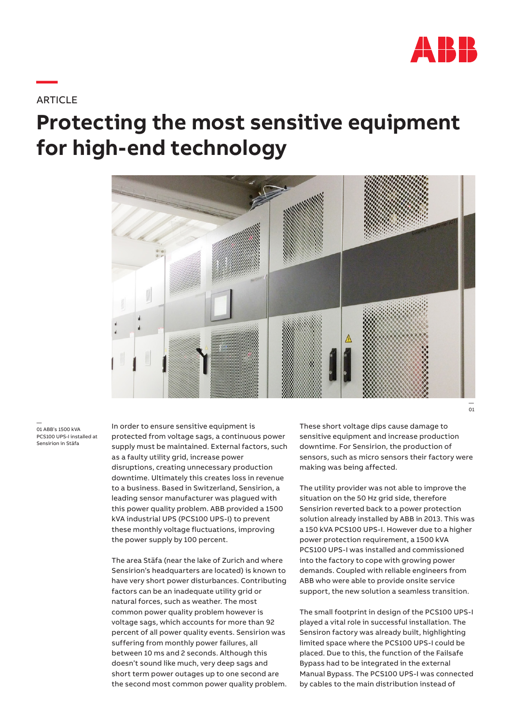

**ARTICLE** 

**—**

## **Protecting the most sensitive equipment for high-end technology**



01 ABB's 1500 kVA PCS100 UPS-I installed at Sensirion in Stäfa

—

In order to ensure sensitive equipment is protected from voltage sags, a continuous power supply must be maintained. External factors, such as a faulty utility grid, increase power disruptions, creating unnecessary production downtime. Ultimately this creates loss in revenue to a business. Based in Switzerland, Sensirion, a leading sensor manufacturer was plagued with this power quality problem. ABB provided a 1500 kVA industrial UPS (PCS100 UPS-I) to prevent these monthly voltage fluctuations, improving the power supply by 100 percent.

The area Stäfa (near the lake of Zurich and where Sensirion's headquarters are located) is known to have very short power disturbances. Contributing factors can be an inadequate utility grid or natural forces, such as weather. The most common power quality problem however is voltage sags, which accounts for more than 92 percent of all power quality events. Sensirion was suffering from monthly power failures, all between 10 ms and 2 seconds. Although this doesn't sound like much, very deep sags and short term power outages up to one second are the second most common power quality problem. These short voltage dips cause damage to sensitive equipment and increase production downtime. For Sensirion, the production of sensors, such as micro sensors their factory were making was being affected.

The utility provider was not able to improve the situation on the 50 Hz grid side, therefore Sensirion reverted back to a power protection solution already installed by ABB in 2013. This was a 150 kVA PCS100 UPS-I. However due to a higher power protection requirement, a 1500 kVA PCS100 UPS-I was installed and commissioned into the factory to cope with growing power demands. Coupled with reliable engineers from ABB who were able to provide onsite service support, the new solution a seamless transition.

The small footprint in design of the PCS100 UPS-I played a vital role in successful installation. The Sensiron factory was already built, highlighting limited space where the PCS100 UPS-I could be placed. Due to this, the function of the Failsafe Bypass had to be integrated in the external Manual Bypass. The PCS100 UPS-I was connected by cables to the main distribution instead of

01